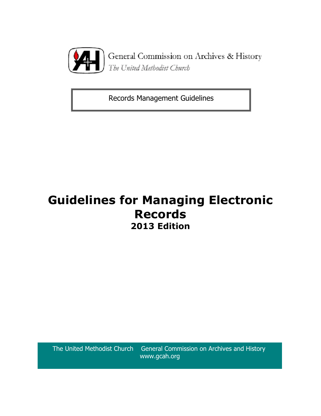

General Commission on Archives & History The United Methodist Church

Records Management Guidelines

# **Guidelines for Managing Electronic Records 2013 Edition**

The United Methodist Church General Commission on Archives and History www.gcah.org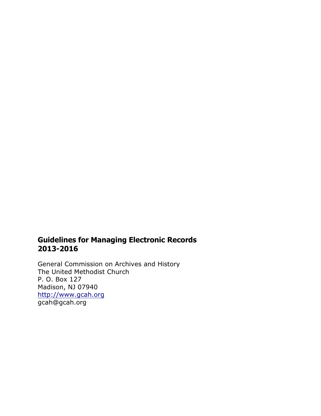## **Guidelines for Managing Electronic Records 2013-2016**

General Commission on Archives and History The United Methodist Church P. O. Box 127 Madison, NJ 07940 http://www.gcah.org gcah@gcah.org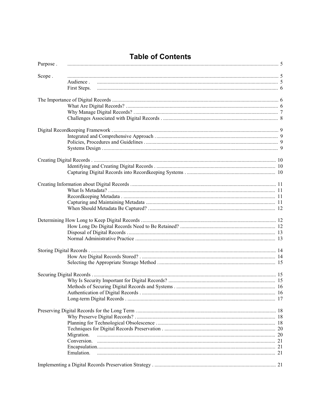## **Table of Contents**

| Purpose. |              |  |
|----------|--------------|--|
| Scope.   |              |  |
|          | Audience.    |  |
|          | First Steps. |  |
|          |              |  |
|          |              |  |
|          |              |  |
|          |              |  |
|          |              |  |
|          |              |  |
|          |              |  |
|          |              |  |
|          |              |  |
|          |              |  |
|          |              |  |
|          |              |  |
|          |              |  |
|          |              |  |
|          |              |  |
|          |              |  |
|          |              |  |
|          |              |  |
|          |              |  |
|          |              |  |
|          |              |  |
|          |              |  |
|          |              |  |
|          |              |  |
|          |              |  |
|          |              |  |
|          |              |  |
|          |              |  |
|          |              |  |
|          |              |  |
|          |              |  |
|          |              |  |
|          |              |  |
|          |              |  |
|          | Migration.   |  |
|          |              |  |
|          |              |  |
|          | Emulation.   |  |
|          |              |  |
|          |              |  |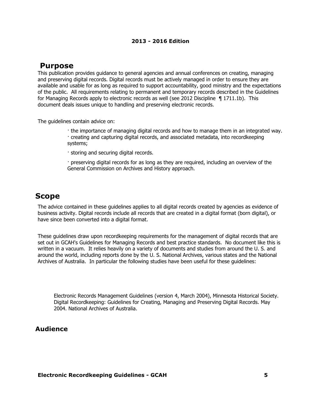## **Purpose**

This publication provides guidance to general agencies and annual conferences on creating, managing and preserving digital records. Digital records must be actively managed in order to ensure they are available and usable for as long as required to support accountability, good ministry and the expectations of the public. All requirements relating to permanent and temporary records described in the *Guidelines for Managing Records* apply to electronic records as well (see 2012 *Discipline* ¶ 1711.1b). This document deals issues unique to handling and preserving electronic records.

The guidelines contain advice on:

· the importance of managing digital records and how to manage them in an integrated way. · creating and capturing digital records, and associated metadata, into recordkeeping systems;

· storing and securing digital records.

· preserving digital records for as long as they are required, including an overview of the General Commission on Archives and History approach.

## **Scope**

The advice contained in these guidelines applies to all digital records created by agencies as evidence of business activity. Digital records include all records that are created in a digital format (born digital), or have since been converted into a digital format.

These guidelines draw upon recordkeeping requirements for the management of digital records that are set out in GCAH's *Guidelines for Managing Records* and best practice standards. No document like this is written in a vacuum. It relies heavily on a variety of documents and studies from around the U. S. and around the world, including reports done by the U. S. National Archives, various states and the National Archives of Australia. In particular the following studies have been useful for these guidelines:

*Electronic Records Management Guidelines (*version 4, March 2004), Minnesota Historical Society. *Digital Recordkeeping: Guidelines for Creating, Managing and Preserving Digital Records.* May 2004. National Archives of Australia.

## **Audience**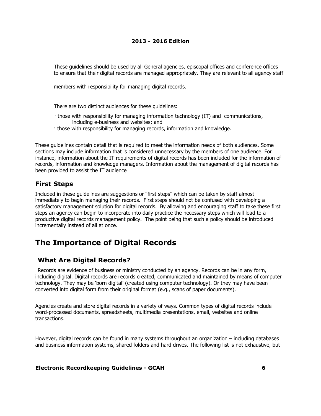These guidelines should be used by all General agencies, episcopal offices and conference offices to ensure that their digital records are managed appropriately. They are relevant to all agency staff

members with responsibility for managing digital records.

There are two distinct audiences for these guidelines:

- · those with responsibility for managing information technology (IT) and communications, including e-business and websites; and
- · those with responsibility for managing records, information and knowledge.

These guidelines contain detail that is required to meet the information needs of both audiences. Some sections may include information that is considered unnecessary by the members of one audience. For instance, information about the IT requirements of digital records has been included for the information of records, information and knowledge managers. Information about the management of digital records has been provided to assist the IT audience

## **First Steps**

Included in these guidelines are suggestions or "first steps" which can be taken by staff almost immediately to begin managing their records. First steps should not be confused with developing a satisfactory management solution for digital records. By allowing and encouraging staff to take these first steps an agency can begin to incorporate into daily practice the necessary steps which will lead to a productive digital records management policy. The point being that such a policy should be introduced incrementally instead of all at once.

## **The Importance of Digital Records**

## **What Are Digital Records?**

Records are evidence of business or ministry conducted by an agency. Records can be in any form, including digital. Digital records are records created, communicated and maintained by means of computer technology. They may be 'born digital' (created using computer technology). Or they may have been converted into digital form from their original format (e.g., scans of paper documents).

Agencies create and store digital records in a variety of ways. Common types of digital records include word-processed documents, spreadsheets, multimedia presentations, email, websites and online transactions.

However, digital records can be found in many systems throughout an organization – including databases and business information systems, shared folders and hard drives. The following list is not exhaustive, but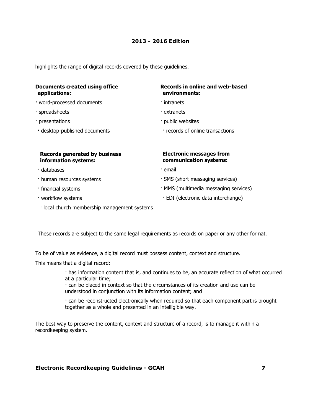highlights the range of digital records covered by these guidelines.

| Documents created using office<br>applications:              | Records in online and web-based<br>environments:          |
|--------------------------------------------------------------|-----------------------------------------------------------|
| . word-processed documents                                   | $\cdot$ intranets                                         |
| · spreadsheets                                               | · extranets                                               |
| · presentations                                              | · public websites                                         |
| · desktop-published documents                                | records of online transactions                            |
|                                                              |                                                           |
| <b>Records generated by business</b><br>information systems: | <b>Electronic messages from</b><br>communication systems: |
| · databases                                                  | ∙ email                                                   |
|                                                              |                                                           |

- · human resources systems
- · financial systems
- · workflow systems
- · local church membership management systems
- · SMS (short messaging services)
- · MMS (multimedia messaging services)
- · EDI (electronic data interchange)

These records are subject to the same legal requirements as records on paper or any other format.

To be of value as evidence, a digital record must possess content, context and structure.

This means that a digital record:

· has information content that is, and continues to be, an accurate reflection of what occurred at a particular time;

· can be placed in context so that the circumstances of its creation and use can be understood in conjunction with its information content; and

· can be reconstructed electronically when required so that each component part is brought together as a whole and presented in an intelligible way.

The best way to preserve the content, context and structure of a record, is to manage it within a recordkeeping system.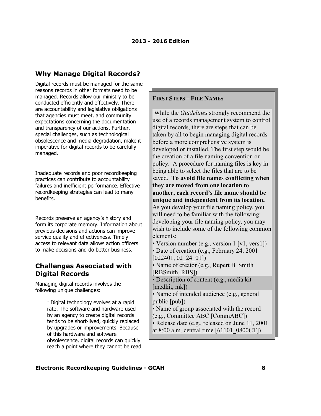## **Why Manage Digital Records?**

Digital records must be managed for the same reasons records in other formats need to be managed. Records allow our ministry to be conducted efficiently and effectively. There are accountability and legislative obligations that agencies must meet, and community expectations concerning the documentation and transparency of our actions. Further, special challenges, such as technological obsolescence and media degradation, make it imperative for digital records to be carefully managed.

Inadequate records and poor recordkeeping practices can contribute to accountability failures and inefficient performance. Effective recordkeeping strategies can lead to many benefits.

Records preserve an agency's history and form its corporate memory. Information about previous decisions and actions can improve service quality and effectiveness. Timely access to relevant data allows action officers to make decisions and do better business.

### **Challenges Associated with Digital Records**

Managing digital records involves the following unique challenges:

> · Digital technology evolves at a rapid rate. The software and hardware used by an agency to create digital records tends to be short-lived, quickly replaced by upgrades or improvements. Because of this hardware and software obsolescence, digital records can quickly reach a point where they cannot be read

#### **FIRST STEPS – FILE NAMES**

 While the *Guidelines* strongly recommend the use of a records management system to control digital records, there are steps that can be taken by all to begin managing digital records before a more comprehensive system is developed or installed. The first step would be the creation of a file naming convention or policy. A procedure for naming files is key in being able to select the files that are to be saved. **To avoid file names conflicting when they are moved from one location to another, each record's file name should be unique and independent from its location.** As you develop your file naming policy, you will need to be familiar with the following: developing your file naming policy, you may wish to include some of the following common elements: • Version number (e.g., version 1 [v1, vers1]) • Date of creation (e.g., February 24, 2001 [022401, 02\_24\_01]) • Name of creator (e.g., Rupert B. Smith [RBSmith, RBS]) • Description of content (e.g., media kit [medkit, mk]) • Name of intended audience (e.g., general public [pub]) • Name of group associated with the record (e.g., Committee ABC [CommABC]) • Release date (e.g., released on June 11, 2001 at 8:00 a.m. central time [61101\_0800CT])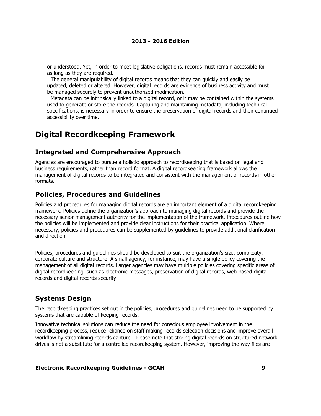or understood. Yet, in order to meet legislative obligations, records must remain accessible for as long as they are required.

· The general manipulability of digital records means that they can quickly and easily be updated, deleted or altered. However, digital records are evidence of business activity and must be managed securely to prevent unauthorized modification.

· Metadata can be intrinsically linked to a digital record, or it may be contained within the systems used to generate or store the records. Capturing and maintaining metadata, including technical specifications, is necessary in order to ensure the preservation of digital records and their continued accessibility over time.

## **Digital Recordkeeping Framework**

### **Integrated and Comprehensive Approach**

Agencies are encouraged to pursue a holistic approach to recordkeeping that is based on legal and business requirements, rather than record format. A digital recordkeeping framework allows the management of digital records to be integrated and consistent with the management of records in other formats.

## **Policies, Procedures and Guidelines**

Policies and procedures for managing digital records are an important element of a digital recordkeeping framework. Policies define the organization's approach to managing digital records and provide the necessary senior management authority for the implementation of the framework. Procedures outline how the policies will be implemented and provide clear instructions for their practical application. Where necessary, policies and procedures can be supplemented by guidelines to provide additional clarification and direction.

Policies, procedures and guidelines should be developed to suit the organization's size, complexity, corporate culture and structure. A small agency, for instance, may have a single policy covering the management of all digital records. Larger agencies may have multiple policies covering specific areas of digital recordkeeping, such as electronic messages, preservation of digital records, web-based digital records and digital records security.

## **Systems Design**

The recordkeeping practices set out in the policies, procedures and guidelines need to be supported by systems that are capable of keeping records.

Innovative technical solutions can reduce the need for conscious employee involvement in the recordkeeping process, reduce reliance on staff making records selection decisions and improve overall workflow by streamlining records capture. Please note that storing digital records on structured network drives is not a substitute for a controlled recordkeeping system. However, improving the way files are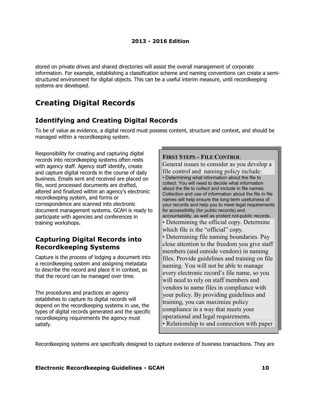stored on private drives and shared directories will assist the overall management of corporate information. For example, establishing a classification scheme and naming conventions can create a semistructured environment for digital objects. This can be a useful interim measure, until recordkeeping systems are developed.

## **Creating Digital Records**

## **Identifying and Creating Digital Records**

To be of value as evidence, a digital record must possess content, structure and context, and should be managed within a recordkeeping system.

Responsibility for creating and capturing digital records into recordkeeping systems often rests with agency staff. Agency staff identify, create and capture digital records in the course of daily business. Emails sent and received are placed on file, word processed documents are drafted, altered and finalized within an agency's electronic recordkeeping system, and forms or correspondence are scanned into electronic document management systems. GCAH is ready to participate with agencies and conferences in training workshops.

## **Capturing Digital Records into Recordkeeping Systems**

Capture is the process of lodging a document into a recordkeeping system and assigning metadata to describe the record and place it in context, so that the record can be managed over time.

The procedures and practices an agency establishes to capture its digital records will depend on the recordkeeping systems in use, the types of digital records generated and the specific recordkeeping requirements the agency must satisfy.

#### **FIRST STEPS – FILE CONTROL**

General issues to consider as you develop a file control and naming policy include: • Determining what information about the file to collect. You will need to decide what information about the file to collect and include in file names. Collection and use of information about the file in file names will help ensure the long-term usefulness of your records and help you to meet legal requirements for accessibility (for public records) and accountability, as well as protect not-public records. • Determining the official copy. Determine which file is the "official" copy. • Determining file naming boundaries. Pay close attention to the freedom you give staff members (and outside vendors) in naming files. Provide guidelines and training on file naming. You will not be able to manage every electronic record's file name, so you will need to rely on staff members and vendors to name files in compliance with your policy. By providing guidelines and training, you can maximize policy compliance in a way that meets your operational and legal requirements. • Relationship to and connection with paper

Recordkeeping systems are specifically designed to capture evidence of business transactions. They are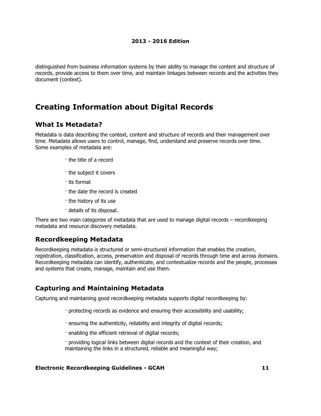distinguished from business information systems by their ability to manage the content and structure of records, provide access to them over time, and maintain linkages between records and the activities they document (context).

## **Creating Information about Digital Records**

### **What Is Metadata?**

Metadata is data describing the context, content and structure of records and their management over time. Metadata allows users to control, manage, find, understand and preserve records over time. Some examples of metadata are:

- · the title of a record
- · the subject it covers
- · its format
- · the date the record is created
- · the history of its use
- · details of its disposal.

There are two main categories of metadata that are used to manage digital records – recordkeeping metadata and resource discovery metadata.

## **Recordkeeping Metadata**

Recordkeeping metadata is structured or semi-structured information that enables the creation, registration, classification, access, preservation and disposal of records through time and across domains. Recordkeeping metadata can identify, authenticate, and contextualize records and the people, processes and systems that create, manage, maintain and use them.

## **Capturing and Maintaining Metadata**

Capturing and maintaining good recordkeeping metadata supports digital recordkeeping by:

- · protecting records as evidence and ensuring their accessibility and usability;
- · ensuring the authenticity, reliability and integrity of digital records;
- · enabling the efficient retrieval of digital records;
- · providing logical links between digital records and the context of their creation, and maintaining the links in a structured, reliable and meaningful way;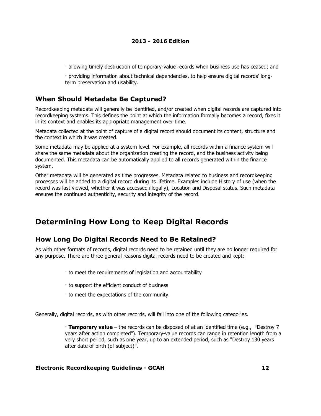· allowing timely destruction of temporary-value records when business use has ceased; and

· providing information about technical dependencies, to help ensure digital records' longterm preservation and usability.

## **When Should Metadata Be Captured?**

Recordkeeping metadata will generally be identified, and/or created when digital records are captured into recordkeeping systems. This defines the point at which the information formally becomes a record, fixes it in its context and enables its appropriate management over time.

Metadata collected at the point of capture of a digital record should document its content, structure and the context in which it was created.

Some metadata may be applied at a system level. For example, all records within a finance system will share the same metadata about the organization creating the record, and the business activity being documented. This metadata can be automatically applied to all records generated within the finance system.

Other metadata will be generated as time progresses. Metadata related to business and recordkeeping processes will be added to a digital record during its lifetime. Examples include History of use (when the record was last viewed, whether it was accessed illegally), Location and Disposal status. Such metadata ensures the continued authenticity, security and integrity of the record.

## **Determining How Long to Keep Digital Records**

## **How Long Do Digital Records Need to Be Retained?**

As with other formats of records, digital records need to be retained until they are no longer required for any purpose. There are three general reasons digital records need to be created and kept:

- · to meet the requirements of legislation and accountability
- · to support the efficient conduct of business
- · to meet the expectations of the community.

Generally, digital records, as with other records, will fall into one of the following categories.

· **Temporary value** – the records can be disposed of at an identified time (e.g., "Destroy 7 years after action completed"). Temporary-value records can range in retention length from a very short period, such as one year, up to an extended period, such as "Destroy 130 years after date of birth (of subject)".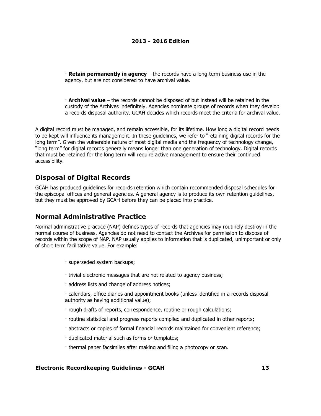· **Retain permanently in agency** – the records have a long-term business use in the agency, but are not considered to have archival value.

· **Archival value** – the records cannot be disposed of but instead will be retained in the custody of the Archives indefinitely. Agencies nominate groups of records when they develop a records disposal authority. GCAH decides which records meet the criteria for archival value.

A digital record must be managed, and remain accessible, for its lifetime. How long a digital record needs to be kept will influence its management. In these guidelines, we refer to "retaining digital records for the long term". Given the vulnerable nature of most digital media and the frequency of technology change, "long term" for digital records generally means longer than one generation of technology. Digital records that must be retained for the long term will require active management to ensure their continued accessibility.

## **Disposal of Digital Records**

GCAH has produced guidelines for records retention which contain recommended disposal schedules for the episcopal offices and general agencies. A general agency is to produce its own retention guidelines, but they must be approved by GCAH before they can be placed into practice.

### **Normal Administrative Practice**

Normal administrative practice (NAP) defines types of records that agencies may routinely destroy in the normal course of business. Agencies do not need to contact the Archives for permission to dispose of records within the scope of NAP. NAP usually applies to information that is duplicated, unimportant or only of short term facilitative value. For example:

- · superseded system backups;
- · trivial electronic messages that are not related to agency business;
- · address lists and change of address notices;
- · calendars, office diaries and appointment books (unless identified in a records disposal authority as having additional value);
- · rough drafts of reports, correspondence, routine or rough calculations;
- · routine statistical and progress reports compiled and duplicated in other reports;
- · abstracts or copies of formal financial records maintained for convenient reference;
- · duplicated material such as forms or templates;
- · thermal paper facsimiles after making and filing a photocopy or scan.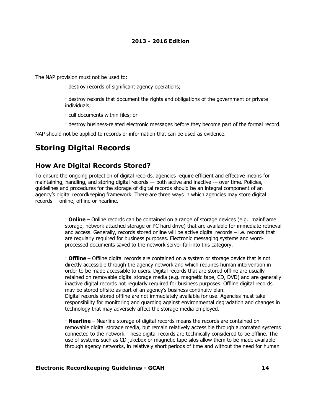The NAP provision must not be used to:

· destroy records of significant agency operations;

· destroy records that document the rights and obligations of the government or private individuals;

· cull documents within files; or

· destroy business-related electronic messages before they become part of the formal record.

NAP should not be applied to records or information that can be used as evidence.

## **Storing Digital Records**

## **How Are Digital Records Stored?**

To ensure the ongoing protection of digital records, agencies require efficient and effective means for maintaining, handling, and storing digital records -- both active and inactive -- over time. Policies, guidelines and procedures for the storage of digital records should be an integral component of an agency's digital recordkeeping framework. There are three ways in which agencies may store digital records -- online, offline or nearline.

> · **Online** – Online records can be contained on a range of storage devices (e.g. mainframe storage, network attached storage or PC hard drive) that are available for immediate retrieval and access. Generally, records stored online will be active digital records – i.e. records that are regularly required for business purposes. Electronic messaging systems and wordprocessed documents saved to the network server fall into this category.

> · **Offline** – Offline digital records are contained on a system or storage device that is not directly accessible through the agency network and which requires human intervention in order to be made accessible to users. Digital records that are stored offline are usually retained on removable digital storage media (e.g. magnetic tape, CD, DVD) and are generally inactive digital records not regularly required for business purposes. Offline digital records may be stored offsite as part of an agency's business continuity plan. Digital records stored offline are not immediately available for use. Agencies must take responsibility for monitoring and guarding against environmental degradation and changes in technology that may adversely affect the storage media employed.

> · **Nearline** – Nearline storage of digital records means the records are contained on removable digital storage media, but remain relatively accessible through automated systems connected to the network. These digital records are technically considered to be offline. The use of systems such as CD jukebox or magnetic tape silos allow them to be made available through agency networks, in relatively short periods of time and without the need for human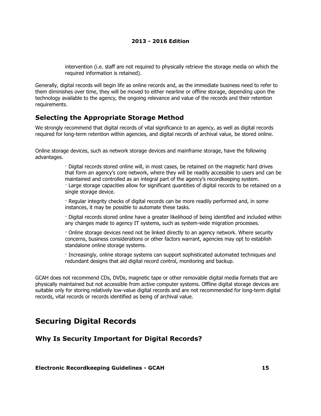intervention (i.e. staff are not required to physically retrieve the storage media on which the required information is retained).

Generally, digital records will begin life as online records and, as the immediate business need to refer to them diminishes over time, they will be moved to either nearline or offline storage, depending upon the technology available to the agency, the ongoing relevance and value of the records and their retention requirements.

## **Selecting the Appropriate Storage Method**

We strongly recommend that digital records of vital significance to an agency, as well as digital records required for long-term retention within agencies, and digital records of archival value, be stored online.

Online storage devices, such as network storage devices and mainframe storage, have the following advantages.

> · Digital records stored online will, in most cases, be retained on the magnetic hard drives that form an agency's core network, where they will be readily accessible to users and can be maintained and controlled as an integral part of the agency's recordkeeping system. · Large storage capacities allow for significant quantities of digital records to be retained on a single storage device.

· Regular integrity checks of digital records can be more readily performed and, in some instances, it may be possible to automate these tasks.

· Digital records stored online have a greater likelihood of being identified and included within any changes made to agency IT systems, such as system-wide migration processes.

· Online storage devices need not be linked directly to an agency network. Where security concerns, business considerations or other factors warrant, agencies may opt to establish standalone online storage systems.

· Increasingly, online storage systems can support sophisticated automated techniques and redundant designs that aid digital record control, monitoring and backup.

GCAH does not recommend CDs, DVDs, magnetic tape or other removable digital media formats that are physically maintained but not accessible from active computer systems. Offline digital storage devices are suitable only for storing relatively low-value digital records and are not recommended for long-term digital records, vital records or records identified as being of archival value.

## **Securing Digital Records**

### **Why Is Security Important for Digital Records?**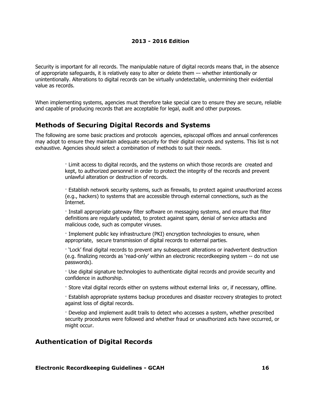Security is important for all records. The manipulable nature of digital records means that, in the absence of appropriate safeguards, it is relatively easy to alter or delete them –- whether intentionally or unintentionally. Alterations to digital records can be virtually undetectable, undermining their evidential value as records.

When implementing systems, agencies must therefore take special care to ensure they are secure, reliable and capable of producing records that are acceptable for legal, audit and other purposes.

### **Methods of Securing Digital Records and Systems**

The following are some basic practices and protocols agencies, episcopal offices and annual conferences may adopt to ensure they maintain adequate security for their digital records and systems. This list is not exhaustive. Agencies should select a combination of methods to suit their needs.

> · Limit access to digital records, and the systems on which those records are created and kept, to authorized personnel in order to protect the integrity of the records and prevent unlawful alteration or destruction of records.

· Establish network security systems, such as firewalls, to protect against unauthorized access (e.g., hackers) to systems that are accessible through external connections, such as the Internet.

· Install appropriate gateway filter software on messaging systems, and ensure that filter definitions are regularly updated, to protect against spam, denial of service attacks and malicious code, such as computer viruses.

· Implement public key infrastructure (PKI) encryption technologies to ensure, when appropriate, secure transmission of digital records to external parties.

· 'Lock' final digital records to prevent any subsequent alterations or inadvertent destruction (e.g. finalizing records as 'read-only' within an electronic recordkeeping system -- do not use passwords).

· Use digital signature technologies to authenticate digital records and provide security and confidence in authorship.

· Store vital digital records either on systems without external links or, if necessary, offline.

· Establish appropriate systems backup procedures and disaster recovery strategies to protect against loss of digital records.

· Develop and implement audit trails to detect who accesses a system, whether prescribed security procedures were followed and whether fraud or unauthorized acts have occurred, or might occur.

### **Authentication of Digital Records**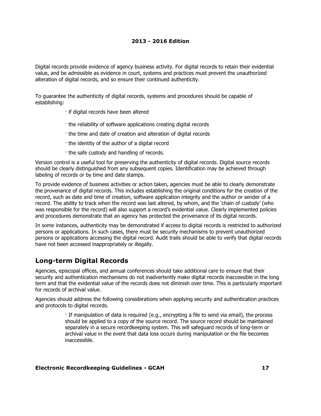Digital records provide evidence of agency business activity. For digital records to retain their evidential value, and be admissible as evidence in court, systems and practices must prevent the unauthorized alteration of digital records, and so ensure their continued authenticity.

To guarantee the authenticity of digital records, systems and procedures should be capable of establishing:

- · if digital records have been altered
- · the reliability of software applications creating digital records
- · the time and date of creation and alteration of digital records
- · the identity of the author of a digital record
- · the safe custody and handling of records.

Version control is a useful tool for preserving the authenticity of digital records. Digital source records should be clearly distinguished from any subsequent copies. Identification may be achieved through labeling of records or by time and date stamps.

To provide evidence of business activities or action taken, agencies must be able to clearly demonstrate the provenance of digital records. This includes establishing the original conditions for the creation of the record, such as date and time of creation, software application integrity and the author or sender of a record. The ability to track when the record was last altered, by whom, and the 'chain of custody' (who was responsible for the record) will also support a record's evidential value. Clearly implemented policies and procedures demonstrate that an agency has protected the provenance of its digital records.

In some instances, authenticity may be demonstrated if access to digital records is restricted to authorized persons or applications. In such cases, there must be security mechanisms to prevent unauthorized persons or applications accessing the digital record. Audit trails should be able to verify that digital records have not been accessed inappropriately or illegally.

## **Long-term Digital Records**

Agencies, episcopal offices, and annual conferences should take additional care to ensure that their security and authentication mechanisms do not inadvertently make digital records inaccessible in the long term and that the evidential value of the records does not diminish over time. This is particularly important for records of archival value.

Agencies should address the following considerations when applying security and authentication practices and protocols to digital records.

> · If manipulation of data is required (e.g., encrypting a file to send via email), the process should be applied to a copy of the source record. The source record should be maintained separately in a secure recordkeeping system. This will safeguard records of long-term or archival value in the event that data loss occurs during manipulation or the file becomes inaccessible.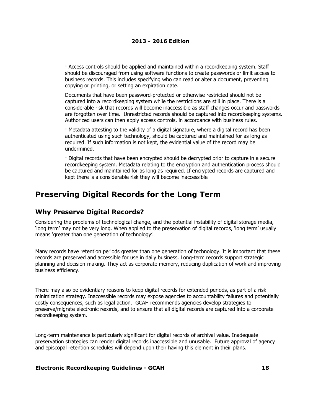· Access controls should be applied and maintained within a recordkeeping system. Staff should be discouraged from using software functions to create passwords or limit access to business records. This includes specifying who can read or alter a document, preventing copying or printing, or setting an expiration date.

Documents that have been password-protected or otherwise restricted should not be captured into a recordkeeping system while the restrictions are still in place. There is a considerable risk that records will become inaccessible as staff changes occur and passwords are forgotten over time. Unrestricted records should be captured into recordkeeping systems. Authorized users can then apply access controls, in accordance with business rules.

· Metadata attesting to the validity of a digital signature, where a digital record has been authenticated using such technology, should be captured and maintained for as long as required. If such information is not kept, the evidential value of the record may be undermined.

· Digital records that have been encrypted should be decrypted prior to capture in a secure recordkeeping system. Metadata relating to the encryption and authentication process should be captured and maintained for as long as required. If encrypted records are captured and kept there is a considerable risk they will become inaccessible

## **Preserving Digital Records for the Long Term**

### **Why Preserve Digital Records?**

Considering the problems of technological change, and the potential instability of digital storage media, 'long term' may not be very long. When applied to the preservation of digital records, 'long term' usually means 'greater than one generation of technology'.

Many records have retention periods greater than one generation of technology. It is important that these records are preserved and accessible for use in daily business. Long-term records support strategic planning and decision-making. They act as corporate memory, reducing duplication of work and improving business efficiency.

There may also be evidentiary reasons to keep digital records for extended periods, as part of a risk minimization strategy. Inaccessible records may expose agencies to accountability failures and potentially costly consequences, such as legal action. GCAH recommends agencies develop strategies to preserve/migrate electronic records, and to ensure that all digital records are captured into a corporate recordkeeping system.

Long-term maintenance is particularly significant for digital records of archival value. Inadequate preservation strategies can render digital records inaccessible and unusable. Future approval of agency and episcopal retention schedules will depend upon their having this element in their plans.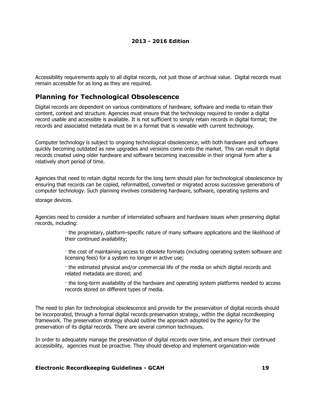Accessibility requirements apply to all digital records, not just those of archival value. Digital records must remain accessible for as long as they are required.

## **Planning for Technological Obsolescence**

Digital records are dependent on various combinations of hardware, software and media to retain their content, context and structure. Agencies must ensure that the technology required to render a digital record usable and accessible is available. It is not sufficient to simply retain records in digital format; the records and associated metadata must be in a format that is viewable with current technology.

Computer technology is subject to ongoing technological obsolescence, with both hardware and software quickly becoming outdated as new upgrades and versions come onto the market. This can result in digital records created using older hardware and software becoming inaccessible in their original form after a relatively short period of time.

Agencies that need to retain digital records for the long term should plan for technological obsolescence by ensuring that records can be copied, reformatted, converted or migrated across successive generations of computer technology. Such planning involves considering hardware, software, operating systems and

storage devices.

Agencies need to consider a number of interrelated software and hardware issues when preserving digital records, including:

> · the proprietary, platform-specific nature of many software applications and the likelihood of their continued availability;

> · the cost of maintaining access to obsolete formats (including operating system software and licensing fees) for a system no longer in active use;

· the estimated physical and/or commercial life of the media on which digital records and related metadata are stored; and

· the long-term availability of the hardware and operating system platforms needed to access records stored on different types of media.

The need to plan for technological obsolescence and provide for the preservation of digital records should be incorporated, through a formal digital records preservation strategy, within the digital recordkeeping framework. The preservation strategy should outline the approach adopted by the agency for the preservation of its digital records. There are several common techniques.

In order to adequately manage the preservation of digital records over time, and ensure their continued accessibility, agencies must be proactive. They should develop and implement organization-wide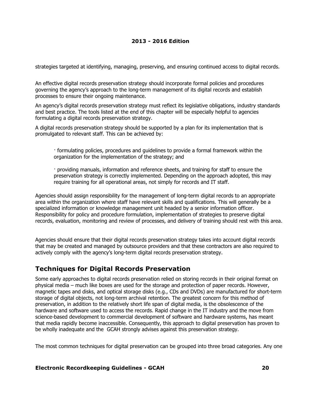strategies targeted at identifying, managing, preserving, and ensuring continued access to digital records.

An effective digital records preservation strategy should incorporate formal policies and procedures governing the agency's approach to the long-term management of its digital records and establish processes to ensure their ongoing maintenance.

An agency's digital records preservation strategy must reflect its legislative obligations, industry standards and best practice. The tools listed at the end of this chapter will be especially helpful to agencies formulating a digital records preservation strategy.

A digital records preservation strategy should be supported by a plan for its implementation that is promulgated to relevant staff. This can be achieved by:

- · formulating policies, procedures and guidelines to provide a formal framework within the organization for the implementation of the strategy; and
- · providing manuals, information and reference sheets, and training for staff to ensure the preservation strategy is correctly implemented. Depending on the approach adopted, this may require training for all operational areas, not simply for records and IT staff.

Agencies should assign responsibility for the management of long-term digital records to an appropriate area within the organization where staff have relevant skills and qualifications. This will generally be a specialized information or knowledge management unit headed by a senior information officer. Responsibility for policy and procedure formulation, implementation of strategies to preserve digital records, evaluation, monitoring and review of processes, and delivery of training should rest with this area.

Agencies should ensure that their digital records preservation strategy takes into account digital records that may be created and managed by outsource providers and that these contractors are also required to actively comply with the agency's long-term digital records preservation strategy.

## **Techniques for Digital Records Preservation**

Some early approaches to digital records preservation relied on storing records in their original format on physical media – much like boxes are used for the storage and protection of paper records. However, magnetic tapes and disks, and optical storage disks (e.g., CDs and DVDs) are manufactured for short-term storage of digital objects, not long-term archival retention. The greatest concern for this method of preservation, in addition to the relatively short life span of digital media, is the obsolescence of the hardware and software used to access the records. Rapid change in the IT industry and the move from science-based development to commercial development of software and hardware systems, has meant that media rapidly become inaccessible. Consequently, this approach to digital preservation has proven to be wholly inadequate and the GCAH strongly advises against this preservation strategy.

The most common techniques for digital preservation can be grouped into three broad categories. Any one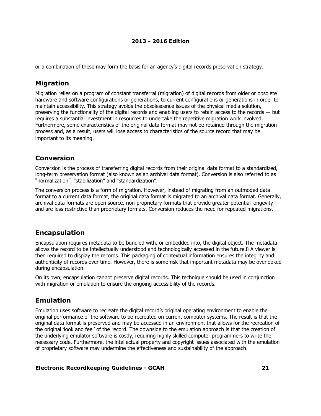or a combination of these may form the basis for an agency's digital records preservation strategy.

## **Migration**

Migration relies on a program of constant transferral (migration) of digital records from older or obsolete hardware and software configurations or generations, to current configurations or generations in order to maintain accessibility. This strategy avoids the obsolescence issues of the physical media solution, preserving the functionality of the digital records and enabling users to retain access to the records –- but requires a substantial investment in resources to undertake the repetitive migration work involved. Furthermore, some characteristics of the original data format may not be retained through the migration process and, as a result, users will lose access to characteristics of the source record that may be important to its meaning.

## **Conversion**

Conversion is the process of transferring digital records from their original data format to a standardized, long-term preservation format (also known as an archival data format). Conversion is also referred to as "normalization", "stabilization" and "standardization".

The conversion process is a form of migration. However, instead of migrating from an outmoded data format to a current data format, the original data format is migrated to an archival data format. Generally, archival data formats are open source, non-proprietary formats that provide greater potential longevity and are less restrictive than proprietary formats. Conversion reduces the need for repeated migrations.

## **Encapsulation**

Encapsulation requires metadata to be bundled with, or embedded into, the digital object. The metadata allows the record to be intellectually understood and technologically accessed in the future.8 A viewer is then required to display the records. This packaging of contextual information ensures the integrity and authenticity of records over time. However, there is some risk that important metadata may be overlooked during encapsulation.

On its own, encapsulation cannot preserve digital records. This technique should be used in conjunction with migration or emulation to ensure the ongoing accessibility of the records.

## **Emulation**

Emulation uses software to recreate the digital record's original operating environment to enable the original performance of the software to be recreated on current computer systems. The result is that the original data format is preserved and may be accessed in an environment that allows for the recreation of the original 'look and feel' of the record. The downside to the emulation approach is that the creation of the underlying emulator software is costly, requiring highly skilled computer programmers to write the necessary code. Furthermore, the intellectual property and copyright issues associated with the emulation of proprietary software may undermine the effectiveness and sustainability of the approach.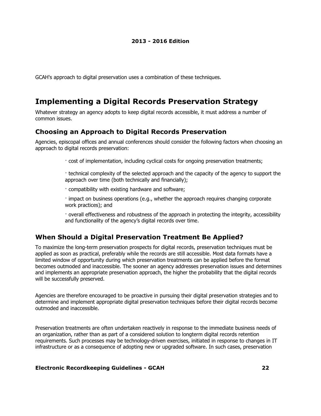GCAH's approach to digital preservation uses a combination of these techniques.

## **Implementing a Digital Records Preservation Strategy**

Whatever strategy an agency adopts to keep digital records accessible, it must address a number of common issues.

## **Choosing an Approach to Digital Records Preservation**

Agencies, episcopal offices and annual conferences should consider the following factors when choosing an approach to digital records preservation:

· cost of implementation, including cyclical costs for ongoing preservation treatments;

· technical complexity of the selected approach and the capacity of the agency to support the approach over time (both technically and financially);

· compatibility with existing hardware and software;

· impact on business operations (e.g., whether the approach requires changing corporate work practices); and

· overall effectiveness and robustness of the approach in protecting the integrity, accessibility and functionality of the agency's digital records over time.

### **When Should a Digital Preservation Treatment Be Applied?**

To maximize the long-term preservation prospects for digital records, preservation techniques must be applied as soon as practical, preferably while the records are still accessible. Most data formats have a limited window of opportunity during which preservation treatments can be applied before the format becomes outmoded and inaccessible. The sooner an agency addresses preservation issues and determines and implements an appropriate preservation approach, the higher the probability that the digital records will be successfully preserved.

Agencies are therefore encouraged to be proactive in pursuing their digital preservation strategies and to determine and implement appropriate digital preservation techniques before their digital records become outmoded and inaccessible.

Preservation treatments are often undertaken reactively in response to the immediate business needs of an organization, rather than as part of a considered solution to longterm digital records retention requirements. Such processes may be technology-driven exercises, initiated in response to changes in IT infrastructure or as a consequence of adopting new or upgraded software. In such cases, preservation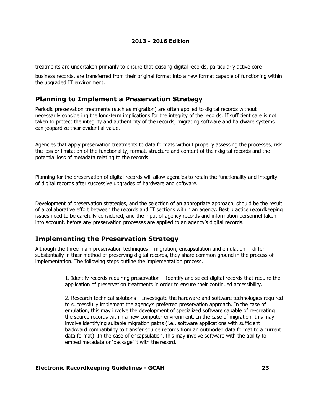treatments are undertaken primarily to ensure that existing digital records, particularly active core

business records, are transferred from their original format into a new format capable of functioning within the upgraded IT environment.

## **Planning to Implement a Preservation Strategy**

Periodic preservation treatments (such as migration) are often applied to digital records without necessarily considering the long-term implications for the integrity of the records. If sufficient care is not taken to protect the integrity and authenticity of the records, migrating software and hardware systems can jeopardize their evidential value.

Agencies that apply preservation treatments to data formats without properly assessing the processes, risk the loss or limitation of the functionality, format, structure and content of their digital records and the potential loss of metadata relating to the records.

Planning for the preservation of digital records will allow agencies to retain the functionality and integrity of digital records after successive upgrades of hardware and software.

Development of preservation strategies, and the selection of an appropriate approach, should be the result of a collaborative effort between the records and IT sections within an agency. Best practice recordkeeping issues need to be carefully considered, and the input of agency records and information personnel taken into account, before any preservation processes are applied to an agency's digital records.

### **Implementing the Preservation Strategy**

Although the three main preservation techniques – migration, encapsulation and emulation -- differ substantially in their method of preserving digital records, they share common ground in the process of implementation. The following steps outline the implementation process.

> 1. *Identify records requiring preservation* – Identify and select digital records that require the application of preservation treatments in order to ensure their continued accessibility.

> 2. *Research technical solutions* – Investigate the hardware and software technologies required to successfully implement the agency's preferred preservation approach. In the case of emulation, this may involve the development of specialized software capable of re-creating the source records within a new computer environment. In the case of migration, this may involve identifying suitable migration paths (i.e., software applications with sufficient backward compatibility to transfer source records from an outmoded data format to a current data format). In the case of encapsulation, this may involve software with the ability to embed metadata or 'package' it with the record.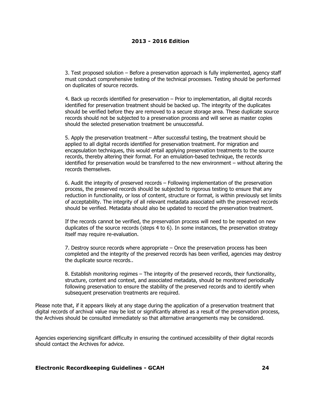3. *Test proposed solution* – Before a preservation approach is fully implemented, agency staff must conduct comprehensive testing of the technical processes. Testing should be performed on duplicates of source records.

4. *Back up records identified for preservation* – Prior to implementation, all digital records identified for preservation treatment should be backed up. The integrity of the duplicates should be verified before they are removed to a secure storage area. These duplicate source records should not be subjected to a preservation process and will serve as master copies should the selected preservation treatment be unsuccessful.

5. *Apply the preservation treatment* – After successful testing, the treatment should be applied to all digital records identified for preservation treatment. For migration and encapsulation techniques, this would entail applying preservation treatments to the source records, thereby altering their format. For an emulation-based technique, the records identified for preservation would be transferred to the new environment – without altering the records themselves.

6. *Audit the integrity of preserved records* – Following implementation of the preservation process, the preserved records should be subjected to rigorous testing to ensure that any reduction in functionality, or loss of content, structure or format, is within previously set limits of acceptability. The integrity of all relevant metadata associated with the preserved records should be verified. Metadata should also be updated to record the preservation treatment.

If the records cannot be verified, the preservation process will need to be repeated on new duplicates of the source records (steps 4 to 6). In some instances, the preservation strategy itself may require re-evaluation.

7. *Destroy source records where appropriate* – Once the preservation process has been completed and the integrity of the preserved records has been verified, agencies may destroy the duplicate source records..

8. *Establish monitoring regimes* – The integrity of the preserved records, their functionality, structure, content and context, and associated metadata, should be monitored periodically following preservation to ensure the stability of the preserved records and to identify when subsequent preservation treatments are required.

Please note that, if it appears likely at any stage during the application of a preservation treatment that digital records of archival value may be lost or significantly altered as a result of the preservation process, the Archives should be consulted immediately so that alternative arrangements may be considered.

Agencies experiencing significant difficulty in ensuring the continued accessibility of their digital records should contact the Archives for advice.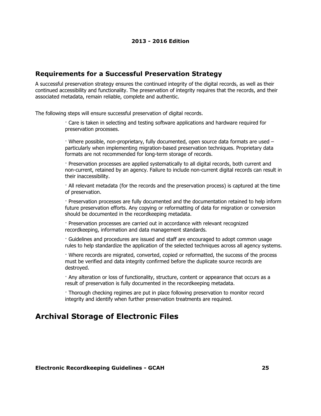### **Requirements for a Successful Preservation Strategy**

A successful preservation strategy ensures the continued integrity of the digital records, as well as their continued accessibility and functionality. The preservation of integrity requires that the records, and their associated metadata, remain reliable, complete and authentic.

The following steps will ensure successful preservation of digital records.

· Care is taken in selecting and testing software applications and hardware required for preservation processes.

· Where possible, non-proprietary, fully documented, open source data formats are used – particularly when implementing migration-based preservation techniques. Proprietary data formats are not recommended for long-term storage of records.

· Preservation processes are applied systematically to all digital records, both current and non-current, retained by an agency. Failure to include non-current digital records can result in their inaccessibility.

· All relevant metadata (for the records and the preservation process) is captured at the time of preservation.

· Preservation processes are fully documented and the documentation retained to help inform future preservation efforts. Any copying or reformatting of data for migration or conversion should be documented in the recordkeeping metadata.

· Preservation processes are carried out in accordance with relevant recognized recordkeeping, information and data management standards.

· Guidelines and procedures are issued and staff are encouraged to adopt common usage rules to help standardize the application of the selected techniques across all agency systems.

· Where records are migrated, converted, copied or reformatted, the success of the process must be verified and data integrity confirmed before the duplicate source records are destroyed.

· Any alteration or loss of functionality, structure, content or appearance that occurs as a result of preservation is fully documented in the recordkeeping metadata.

· Thorough checking regimes are put in place following preservation to monitor record integrity and identify when further preservation treatments are required.

## **Archival Storage of Electronic Files**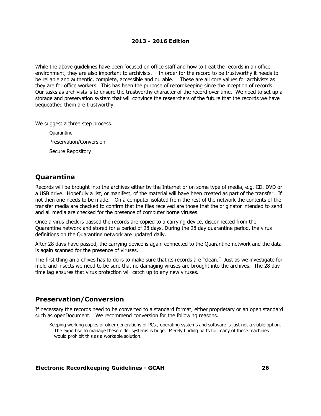While the above guidelines have been focused on office staff and how to treat the records in an office environment, they are also important to archivists. In order for the record to be *trustworthy* it needs to be *reliable* and *authentic*, *complete*, *accessible* and *durable*. These are all core values for archivists as they are for office workers. This has been the purpose of recordkeeping since the inception of records. Our tasks as archivists is to ensure the trustworthy character of the record over time. We need to set up a storage and preservation system that will convince the researchers of the future that the records we have bequeathed them are *trustworthy.*

We suggest a three step process.

**Quarantine** Preservation/Conversion Secure Repository

## **Quarantine**

Records will be brought into the archives either by the Internet or on some type of media, e.g. CD, DVD or a USB drive. Hopefully a list, or manifest, of the material will have been created as part of the transfer. If not then one needs to be made. On a computer isolated from the rest of the network the contents of the transfer media are checked to confirm that the files received are those that the originator intended to send and all media are checked for the presence of computer borne viruses.

Once a virus check is passed the records are copied to a carrying device, disconnected from the Quarantine network and stored for a period of 28 days. During the 28 day quarantine period, the virus definitions on the Quarantine network are updated daily.

After 28 days have passed, the carrying device is again connected to the Quarantine network and the data is again scanned for the presence of viruses.

The first thing an archives has to do is to make sure that its records are "clean." Just as we investigate for mold and insects we need to be sure that no damaging viruses are brought into the archives. The 28 day time lag ensures that virus protection will catch up to any new viruses.

### **Preservation/Conversion**

If necessary the records need to be converted to a standard format, either proprietary or an open standard such as openDocument. We recommend conversion for the following reasons.

Keeping working copies of older generations of PCs , operating systems and software is just not a viable option. The expertise to manage these older systems is huge. Merely finding parts for many of these machines would prohibit this as a workable solution.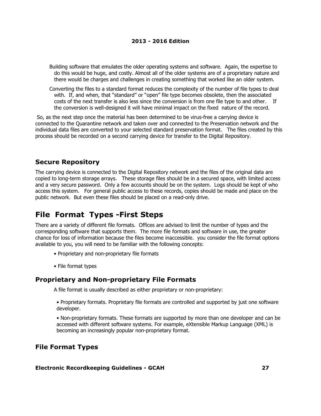Building software that emulates the older operating systems and software. Again, the expertise to do this would be huge, and costly. Almost all of the older systems are of a proprietary nature and there would be charges and challenges in creating something that worked like an older system.

Converting the files to a standard format reduces the complexity of the number of file types to deal with. If, and when, that "standard" or "open" file type becomes obsolete, then the associated costs of the next transfer is also less since the conversion is from one file type to and other. If the conversion is well-designed it will have minimal impact on the fixed nature of the record.

 So, as the next step once the material has been determined to be virus-free a carrying device is connected to the Quarantine network and taken over and connected to the Preservation network and the individual data files are converted to your selected standard preservation format. The files created by this process should be recorded on a second carrying device for transfer to the Digital Repository.

## **Secure Repository**

The carrying device is connected to the Digital Repository network and the files of the original data are copied to long-term storage arrays. These storage files should be in a secured space, with limited access and a very secure password. Only a few accounts should be on the system. Logs should be kept of who access this system. For general public access to these records, copies should be made and place on the public network. But even these files should be placed on a read-only drive.

## **File Format Types -First Steps**

There are a variety of different file formats. Offices are advised to limit the number of types and the corresponding software that supports them. The more file formats and software in use, the greater chance for loss of information because the files become inaccessible. you consider the file format options available to you, you will need to be familiar with the following concepts:

- Proprietary and non-proprietary file formats
- File format types

### **Proprietary and Non-proprietary File Formats**

A file format is usually described as either proprietary or non-proprietary:

• *Proprietary formats*. Proprietary file formats are controlled and supported by just one software developer.

• *Non-proprietary formats*. These formats are supported by more than one developer and can be accessed with different software systems. For example, eXtensible Markup Language (XML) is becoming an increasingly popular non-proprietary format.

### **File Format Types**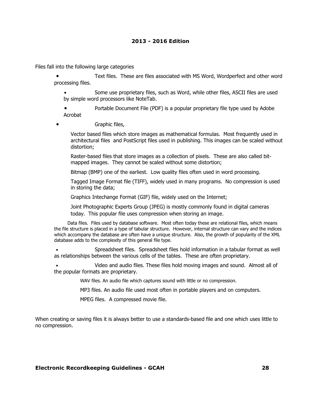Files fall into the following large categories

Text files. These are files associated with MS Word, Wordperfect and other word processing files.

Some use proprietary files, such as Word, while other files, ASCII files are used by simple word processors like NoteTab.

Portable Document File (PDF) is a popular proprietary file type used by Adobe Acrobat

Graphic files,

Vector based files which store images as mathematical formulas. Most frequently used in architectural files and PostScript files used in publishing. This images can be scaled without distortion;

Raster-based files that store images as a collection of pixels. These are also called bitmapped images. They cannot be scaled without some distortion;

Bitmap (BMP) one of the earliest. Low quality files often used in word processing.

Tagged Image Format file (TIFF), widely used in many programs. No compression is used in storing the data;

Graphics Intechange Format (GIF) file, widely used on the Internet;

Joint Photographic Experts Group (JPEG) is mostly commonly found in digital cameras today. This popular file uses compression when storing an image.

Data files. Files used by database software. Most often today these are relational files, which means the file structure is placed in a type of tabular structure. However, internal structure can vary and the indices which accompany the database are often have a unique structure. Also, the growth of popularity of the XML database adds to the complexity of this general file type.

Spreadsheet files. Spreadsheet files hold information in a tabular format as well as relationships between the various cells of the tables. These are often proprietary.

Video and audio files. These files hold moving images and sound. Almost all of the popular formats are proprietary.

WAV files. An audio file which captures sound with little or no compression.

MP3 files. An audio file used most often in portable players and on computers.

MPEG files. A compressed movie file.

When creating or saving files it is always better to use a standards-based file and one which uses little to no compression.